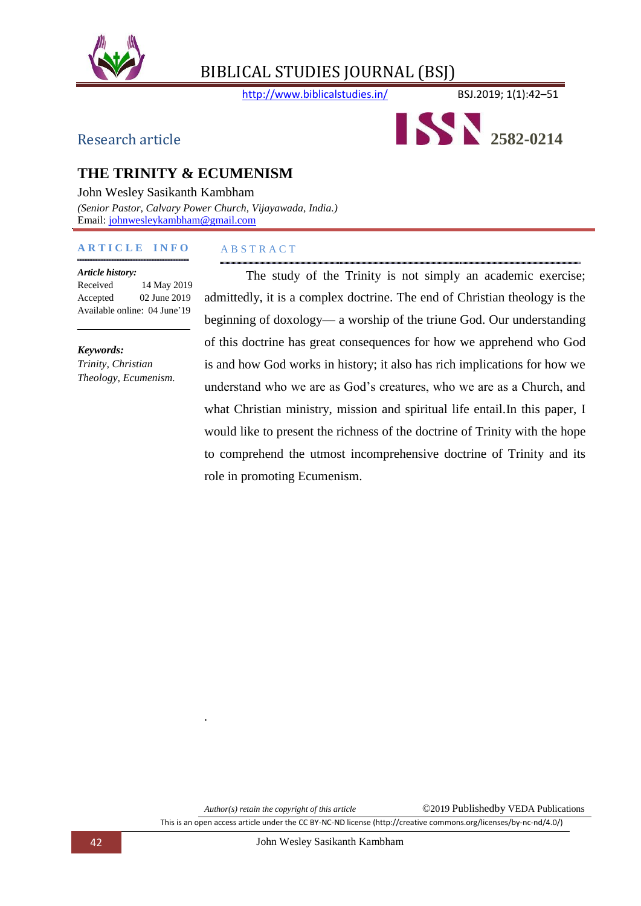

http://www.biblicalstudies.in/ BSJ.2019; 1(1):42-51



# **THE TRINITY & ECUMENISM**

John Wesley Sasikanth Kambham *(Senior Pastor, Calvary Power Church, Vijayawada, India.)* Email: [johnwesleykambham@gmail.com](mailto:johnwesleykambham@gmail.com)

#### **A R T I C L E I N F O**

#### *Article history:*

Received 14 May 2019 Accepted 02 June 2019 Available online: 04 June'19

*Keywords: Trinity, Christian Theology, Ecumenism.*

# The study of the Trinity is not simply an academic exercise;

A B S T R A C T

admittedly, it is a complex doctrine. The end of Christian theology is the beginning of doxology— a worship of the triune God. Our understanding of this doctrine has great consequences for how we apprehend who God is and how God works in history; it also has rich implications for how we understand who we are as God's creatures, who we are as a Church, and what Christian ministry, mission and spiritual life entail.In this paper, I would like to present the richness of the doctrine of Trinity with the hope to comprehend the utmost incomprehensive doctrine of Trinity and its role in promoting Ecumenism.

*.*

This is an open access article under the CC BY-NC-ND license (http://creative commons.org/licenses/by-nc-nd/4.0/)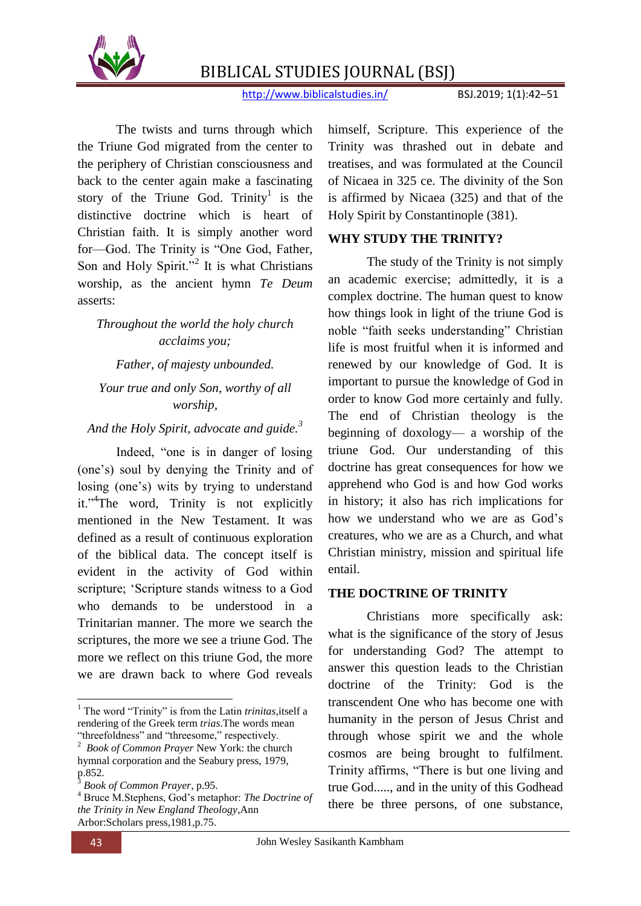

http://www.biblicalstudies.in/ BSJ.2019; 1(1):42–51

The twists and turns through which the Triune God migrated from the center to the periphery of Christian consciousness and back to the center again make a fascinating story of the Triune God. Trinity<sup>1</sup> is the distinctive doctrine which is heart of Christian faith. It is simply another word for—God. The Trinity is "One God, Father, Son and Holy Spirit."<sup>2</sup> It is what Christians worship, as the ancient hymn *Te Deum* asserts:

# *Throughout the world the holy church acclaims you;*

# *Father, of majesty unbounded. Your true and only Son, worthy of all worship,*

*And the Holy Spirit, advocate and guide.<sup>3</sup>*

Indeed, "one is in danger of losing (one's) soul by denying the Trinity and of losing (one's) wits by trying to understand it."<sup>4</sup>The word, Trinity is not explicitly mentioned in the New Testament. It was defined as a result of continuous exploration of the biblical data. The concept itself is evident in the activity of God within scripture; 'Scripture stands witness to a God who demands to be understood in a Trinitarian manner. The more we search the scriptures, the more we see a triune God. The more we reflect on this triune God, the more we are drawn back to where God reveals

himself, Scripture. This experience of the Trinity was thrashed out in debate and treatises, and was formulated at the Council of Nicaea in 325 ce. The divinity of the Son is affirmed by Nicaea (325) and that of the Holy Spirit by Constantinople (381).

#### **WHY STUDY THE TRINITY?**

The study of the Trinity is not simply an academic exercise; admittedly, it is a complex doctrine. The human quest to know how things look in light of the triune God is noble "faith seeks understanding" Christian life is most fruitful when it is informed and renewed by our knowledge of God. It is important to pursue the knowledge of God in order to know God more certainly and fully. The end of Christian theology is the beginning of doxology— a worship of the triune God. Our understanding of this doctrine has great consequences for how we apprehend who God is and how God works in history; it also has rich implications for how we understand who we are as God's creatures, who we are as a Church, and what Christian ministry, mission and spiritual life entail.

#### **THE DOCTRINE OF TRINITY**

Christians more specifically ask: what is the significance of the story of Jesus for understanding God? The attempt to answer this question leads to the Christian doctrine of the Trinity: God is the transcendent One who has become one with humanity in the person of Jesus Christ and through whose spirit we and the whole cosmos are being brought to fulfilment. Trinity affirms, "There is but one living and true God....., and in the unity of this Godhead there be three persons, of one substance,

**.** 

<sup>&</sup>lt;sup>1</sup> The word "Trinity" is from the Latin *trinitas*, itself a rendering of the Greek term *trias*.The words mean "threefoldness" and "threesome," respectively.

<sup>2</sup> *Book of Common Prayer* New York: the church hymnal corporation and the Seabury press, 1979, p.852.

<sup>3</sup> *Book of Common Prayer*, p.95.

<sup>4</sup> Bruce M.Stephens, God's metaphor: *The Doctrine of the Trinity in New England Theology*,Ann Arbor:Scholars press,1981,p.75.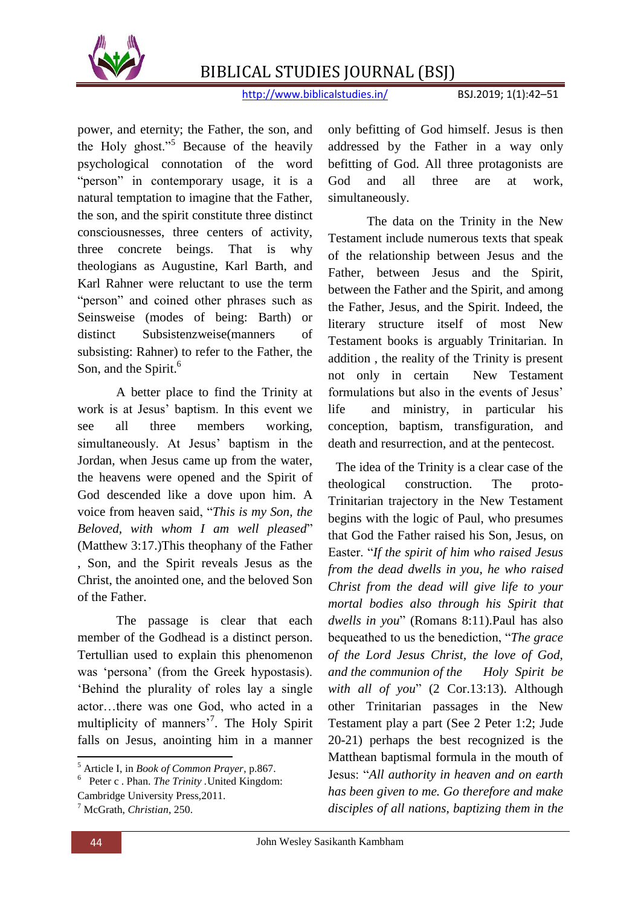

http://www.biblicalstudies.in/ BSJ.2019; 1(1):42-51

power, and eternity; the Father, the son, and the Holy ghost."<sup>5</sup> Because of the heavily psychological connotation of the word "person" in contemporary usage, it is a natural temptation to imagine that the Father, the son, and the spirit constitute three distinct consciousnesses, three centers of activity, three concrete beings. That is why theologians as Augustine, Karl Barth, and Karl Rahner were reluctant to use the term "person" and coined other phrases such as Seinsweise (modes of being: Barth) or distinct Subsistenzweise(manners of subsisting: Rahner) to refer to the Father, the Son, and the Spirit.<sup>6</sup>

A better place to find the Trinity at work is at Jesus' baptism. In this event we see all three members working, simultaneously. At Jesus' baptism in the Jordan, when Jesus came up from the water, the heavens were opened and the Spirit of God descended like a dove upon him. A voice from heaven said, "This is my Son, the *Beloved, with whom I am well pleased*" (Matthew 3:17.)This theophany of the Father , Son, and the Spirit reveals Jesus as the Christ, the anointed one, and the beloved Son of the Father.

The passage is clear that each member of the Godhead is a distinct person. Tertullian used to explain this phenomenon was 'persona' (from the Greek hypostasis). ‗Behind the plurality of roles lay a single actor…there was one God, who acted in a multiplicity of manners<sup>7</sup>. The Holy Spirit falls on Jesus, anointing him in a manner

only befitting of God himself. Jesus is then addressed by the Father in a way only befitting of God. All three protagonists are God and all three are at work, simultaneously.

The data on the Trinity in the New Testament include numerous texts that speak of the relationship between Jesus and the Father, between Jesus and the Spirit, between the Father and the Spirit, and among the Father, Jesus, and the Spirit. Indeed, the literary structure itself of most New Testament books is arguably Trinitarian. In addition , the reality of the Trinity is present not only in certain New Testament formulations but also in the events of Jesus' life and ministry, in particular his conception, baptism, transfiguration, and death and resurrection, and at the pentecost.

The idea of the Trinity is a clear case of the theological construction. The proto-Trinitarian trajectory in the New Testament begins with the logic of Paul, who presumes that God the Father raised his Son, Jesus, on Easter. ―*If the spirit of him who raised Jesus from the dead dwells in you, he who raised Christ from the dead will give life to your mortal bodies also through his Spirit that*  dwells in you" (Romans 8:11).Paul has also bequeathed to us the benediction, "The grace" *of the Lord Jesus Christ, the love of God, and the communion of the Holy Spirit be with all of you*" (2 Cor.13:13). Although other Trinitarian passages in the New Testament play a part (See 2 Peter 1:2; Jude 20-21) perhaps the best recognized is the Matthean baptismal formula in the mouth of Jesus: ―*All authority in heaven and on earth has been given to me. Go therefore and make disciples of all nations, baptizing them in the* 

<sup>1</sup> <sup>5</sup> Article I, in *Book of Common Prayer*, p.867.

<sup>6</sup> Peter c . Phan. *The Trinity .*United Kingdom:

Cambridge University Press,2011.

<sup>7</sup> McGrath, *Christian*, 250.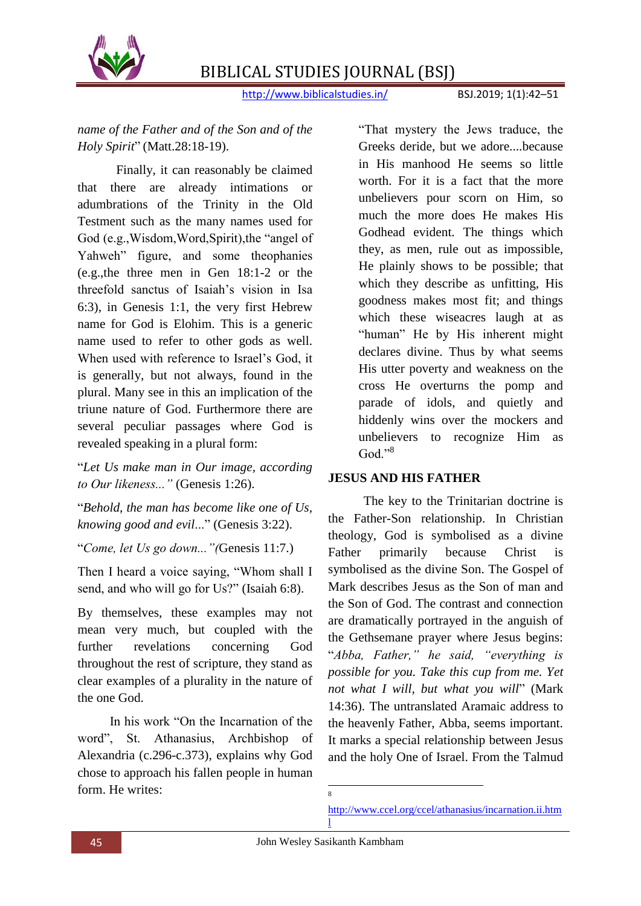

http://www.biblicalstudies.in/ BSJ.2019; 1(1):42–51

*name of the Father and of the Son and of the Holy Spirit*" (Matt.28:18-19).

Finally, it can reasonably be claimed that there are already intimations or adumbrations of the Trinity in the Old Testment such as the many names used for God (e.g., Wisdom, Word, Spirit), the "angel of Yahweh" figure, and some theophanies (e.g.,the three men in Gen 18:1-2 or the threefold sanctus of Isaiah's vision in Isa 6:3), in Genesis 1:1, the very first Hebrew name for God is Elohim. This is a generic name used to refer to other gods as well. When used with reference to Israel's God, it is generally, but not always, found in the plural. Many see in this an implication of the triune nature of God. Furthermore there are several peculiar passages where God is revealed speaking in a plural form:

―*Let Us make man in Our image, according to Our likeness..."* (Genesis 1:26).

―*Behold, the man has become like one of Us, knowing good and evil...*" (Genesis 3:22).

―*Come, let Us go down..."(*Genesis 11:7.)

Then I heard a voice saying, "Whom shall I send, and who will go for Us?" (Isaiah 6:8).

By themselves, these examples may not mean very much, but coupled with the further revelations concerning God throughout the rest of scripture, they stand as clear examples of a plurality in the nature of the one God.

In his work "On the Incarnation of the word". St. Athanasius, Archbishop of Alexandria (c.296-c.373), explains why God chose to approach his fallen people in human form. He writes:

―That mystery the Jews traduce, the Greeks deride, but we adore....because in His manhood He seems so little worth. For it is a fact that the more unbelievers pour scorn on Him, so much the more does He makes His Godhead evident. The things which they, as men, rule out as impossible, He plainly shows to be possible; that which they describe as unfitting, His goodness makes most fit; and things which these wiseacres laugh at as "human" He by His inherent might declares divine. Thus by what seems His utter poverty and weakness on the cross He overturns the pomp and parade of idols, and quietly and hiddenly wins over the mockers and unbelievers to recognize Him as God." $8$ 

#### **JESUS AND HIS FATHER**

 The key to the Trinitarian doctrine is the Father-Son relationship. In Christian theology, God is symbolised as a divine Father primarily because Christ is symbolised as the divine Son. The Gospel of Mark describes Jesus as the Son of man and the Son of God. The contrast and connection are dramatically portrayed in the anguish of the Gethsemane prayer where Jesus begins: ―*Abba, Father," he said, "everything is possible for you. Take this cup from me. Yet not what I will, but what you will*" (Mark 14:36). The untranslated Aramaic address to the heavenly Father, Abba, seems important. It marks a special relationship between Jesus and the holy One of Israel. From the Talmud

 $\overline{a}$ 

<sup>8</sup>

[http://www.ccel.org/ccel/athanasius/incarnation.ii.htm](http://www.ccel.org/ccel/athanasius/incarnation.ii.html) [l](http://www.ccel.org/ccel/athanasius/incarnation.ii.html)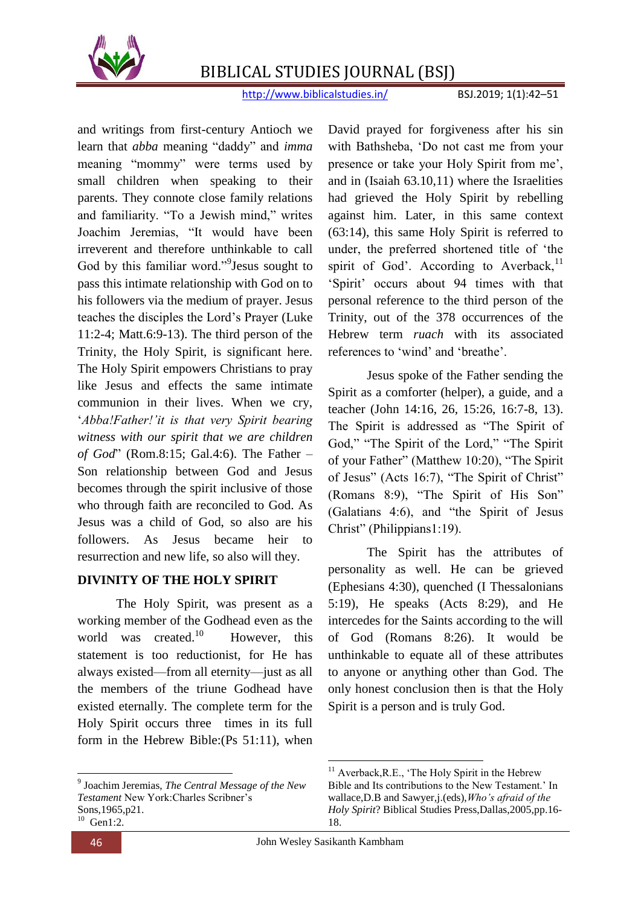

http://www.biblicalstudies.in/ BSJ.2019; 1(1):42–51

and writings from first-century Antioch we learn that *abba* meaning "daddy" and *imma* meaning "mommy" were terms used by small children when speaking to their parents. They connote close family relations and familiarity. "To a Jewish mind," writes Joachim Jeremias, "It would have been irreverent and therefore unthinkable to call God by this familiar word."<sup>9</sup> Jesus sought to pass this intimate relationship with God on to his followers via the medium of prayer. Jesus teaches the disciples the Lord's Prayer (Luke 11:2-4; Matt.6:9-13). The third person of the Trinity, the Holy Spirit, is significant here. The Holy Spirit empowers Christians to pray like Jesus and effects the same intimate communion in their lives. When we cry, ‗*Abba!Father!'it is that very Spirit bearing witness with our spirit that we are children of God*" (Rom.8:15; Gal.4:6). The Father – Son relationship between God and Jesus becomes through the spirit inclusive of those who through faith are reconciled to God. As Jesus was a child of God, so also are his followers. As Jesus became heir to resurrection and new life, so also will they.

#### **DIVINITY OF THE HOLY SPIRIT**

 The Holy Spirit, was present as a working member of the Godhead even as the world was created.<sup>10</sup> However, this statement is too reductionist, for He has always existed—from all eternity—just as all the members of the triune Godhead have existed eternally. The complete term for the Holy Spirit occurs three times in its full form in the Hebrew Bible:(Ps 51:11), when

**.** 

David prayed for forgiveness after his sin with Bathsheba, 'Do not cast me from your presence or take your Holy Spirit from me', and in (Isaiah 63.10,11) where the Israelities had grieved the Holy Spirit by rebelling against him. Later, in this same context (63:14), this same Holy Spirit is referred to under, the preferred shortened title of 'the spirit of God'. According to Averback, $^{11}$ ‗Spirit' occurs about 94 times with that personal reference to the third person of the Trinity, out of the 378 occurrences of the Hebrew term *ruach* with its associated references to 'wind' and 'breathe'.

Jesus spoke of the Father sending the Spirit as a comforter (helper), a guide, and a teacher (John 14:16, 26, 15:26, 16:7-8, 13). The Spirit is addressed as "The Spirit of God," "The Spirit of the Lord," "The Spirit of your Father" (Matthew 10:20), "The Spirit of Jesus" (Acts 16:7), "The Spirit of Christ" (Romans 8:9), "The Spirit of His Son"  $(Galatians 4:6)$ , and "the Spirit of Jesus Christ" (Philippians1:19).

The Spirit has the attributes of personality as well. He can be grieved (Ephesians 4:30), quenched (I Thessalonians 5:19), He speaks (Acts 8:29), and He intercedes for the Saints according to the will of God (Romans 8:26). It would be unthinkable to equate all of these attributes to anyone or anything other than God. The only honest conclusion then is that the Holy Spirit is a person and is truly God.

<sup>9</sup> Joachim Jeremias, *The Central Message of the New Testament* New York:Charles Scribner's Sons,1965,p21.  $10$  Gen1:2.

<sup>1</sup> <sup>11</sup> Averback, R.E., 'The Holy Spirit in the Hebrew Bible and Its contributions to the New Testament.' In wallace,D.B and Sawyer,j.(eds),*Who's afraid of the Holy Spirit*? Biblical Studies Press,Dallas,2005,pp.16- 18.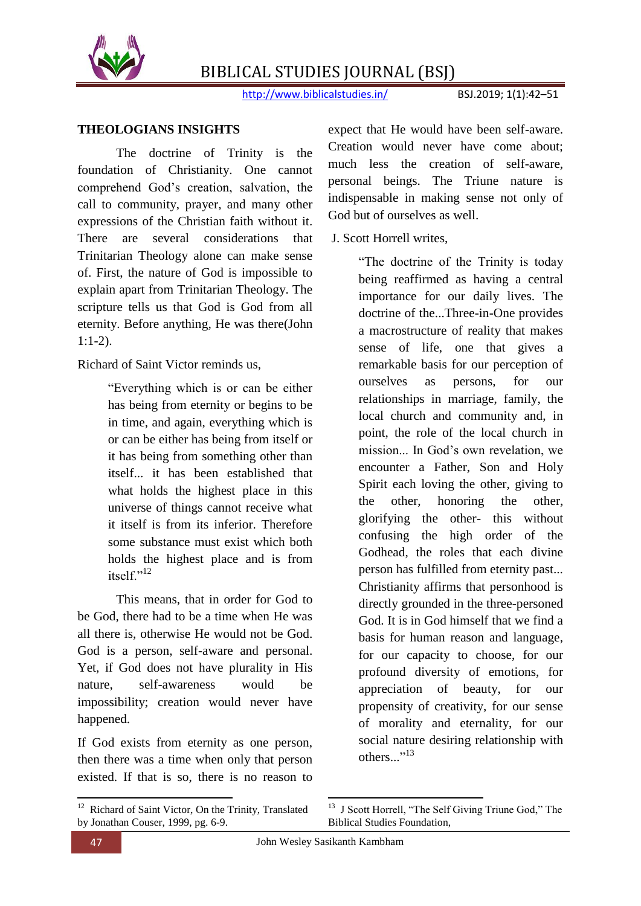

http://www.biblicalstudies.in/ BSJ.2019; 1(1):42-51

#### **THEOLOGIANS INSIGHTS**

The doctrine of Trinity is the foundation of Christianity. One cannot comprehend God's creation, salvation, the call to community, prayer, and many other expressions of the Christian faith without it. There are several considerations that Trinitarian Theology alone can make sense of. First, the nature of God is impossible to explain apart from Trinitarian Theology. The scripture tells us that God is God from all eternity. Before anything, He was there(John 1:1-2).

Richard of Saint Victor reminds us,

―Everything which is or can be either has being from eternity or begins to be in time, and again, everything which is or can be either has being from itself or it has being from something other than itself... it has been established that what holds the highest place in this universe of things cannot receive what it itself is from its inferior. Therefore some substance must exist which both holds the highest place and is from itsel $f^{n,12}$ 

This means, that in order for God to be God, there had to be a time when He was all there is, otherwise He would not be God. God is a person, self-aware and personal. Yet, if God does not have plurality in His nature, self-awareness would be impossibility; creation would never have happened.

If God exists from eternity as one person, then there was a time when only that person existed. If that is so, there is no reason to expect that He would have been self-aware. Creation would never have come about; much less the creation of self-aware, personal beings. The Triune nature is indispensable in making sense not only of God but of ourselves as well.

J. Scott Horrell writes,

"The doctrine of the Trinity is today being reaffirmed as having a central importance for our daily lives. The doctrine of the...Three-in-One provides a macrostructure of reality that makes sense of life, one that gives a remarkable basis for our perception of ourselves as persons, for our relationships in marriage, family, the local church and community and, in point, the role of the local church in mission... In God's own revelation, we encounter a Father, Son and Holy Spirit each loving the other, giving to the other, honoring the other, glorifying the other- this without confusing the high order of the Godhead, the roles that each divine person has fulfilled from eternity past... Christianity affirms that personhood is directly grounded in the three-personed God. It is in God himself that we find a basis for human reason and language, for our capacity to choose, for our profound diversity of emotions, for appreciation of beauty, for our propensity of creativity, for our sense of morality and eternality, for our social nature desiring relationship with others..."<sup>13</sup>

<sup>&</sup>lt;sup>12</sup> Richard of Saint Victor, On the Trinity, Translated by Jonathan Couser, 1999, pg. 6-9.

<sup>&</sup>lt;sup>13</sup> J Scott Horrell, "The Self Giving Triune God," The Biblical Studies Foundation,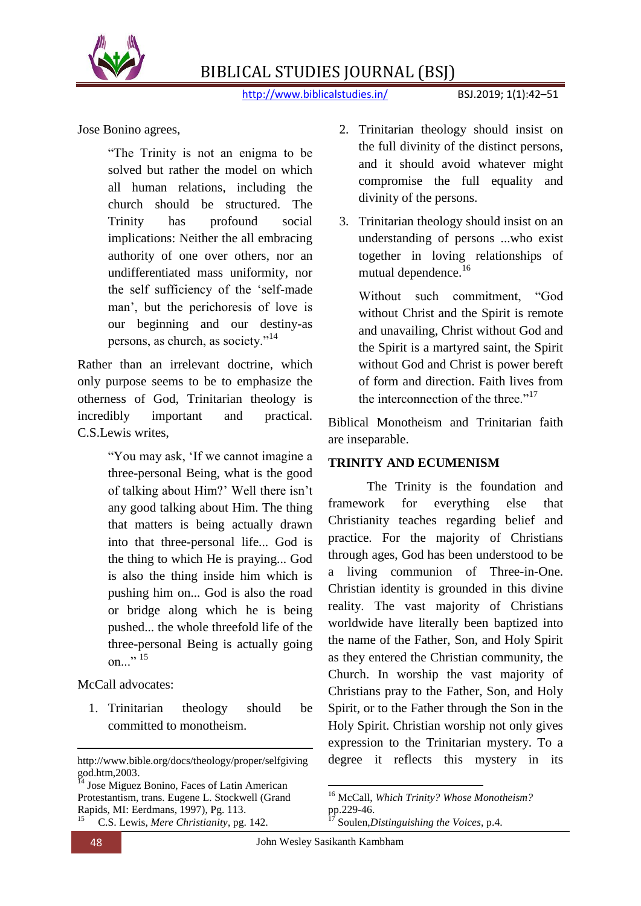

http://www.biblicalstudies.in/ BSJ.2019; 1(1):42–51

Jose Bonino agrees,

"The Trinity is not an enigma to be solved but rather the model on which all human relations, including the church should be structured. The Trinity has profound social implications: Neither the all embracing authority of one over others, nor an undifferentiated mass uniformity, nor the self sufficiency of the 'self-made man', but the perichoresis of love is our beginning and our destiny-as persons, as church, as society."<sup>14</sup>

Rather than an irrelevant doctrine, which only purpose seems to be to emphasize the otherness of God, Trinitarian theology is incredibly important and practical. C.S.Lewis writes,

> ―You may ask, ‗If we cannot imagine a three-personal Being, what is the good of talking about Him?' Well there isn't any good talking about Him. The thing that matters is being actually drawn into that three-personal life... God is the thing to which He is praying... God is also the thing inside him which is pushing him on... God is also the road or bridge along which he is being pushed... the whole threefold life of the three-personal Being is actually going on $\ldots$ <sup>35</sup>

McCall advocates:

1. Trinitarian theology should be committed to monotheism.

1

- 2. Trinitarian theology should insist on the full divinity of the distinct persons, and it should avoid whatever might compromise the full equality and divinity of the persons.
- 3. Trinitarian theology should insist on an understanding of persons ...who exist together in loving relationships of mutual dependence.<sup>16</sup>

Without such commitment, "God without Christ and the Spirit is remote and unavailing, Christ without God and the Spirit is a martyred saint, the Spirit without God and Christ is power bereft of form and direction. Faith lives from the interconnection of the three  $v^{17}$ 

Biblical Monotheism and Trinitarian faith are inseparable.

#### **TRINITY AND ECUMENISM**

The Trinity is the foundation and framework for everything else that Christianity teaches regarding belief and practice. For the majority of Christians through ages, God has been understood to be a living communion of Three-in-One. Christian identity is grounded in this divine reality. The vast majority of Christians worldwide have literally been baptized into the name of the Father, Son, and Holy Spirit as they entered the Christian community, the Church. In worship the vast majority of Christians pray to the Father, Son, and Holy Spirit, or to the Father through the Son in the Holy Spirit. Christian worship not only gives expression to the Trinitarian mystery. To a degree it reflects this mystery in its

http://www.bible.org/docs/theology/proper/selfgiving god.htm,2003.

<sup>&</sup>lt;sup>14</sup> Jose Miguez Bonino, Faces of Latin American Protestantism, trans. Eugene L. Stockwell (Grand Rapids, MI: Eerdmans, 1997), Pg. 113. 15 C.S. Lewis, *Mere Christianity*, pg. 142.

 $\overline{a}$ <sup>16</sup> McCall, *Which Trinity? Whose Monotheism?* pp.229-46.

<sup>17</sup> Soulen,*Distinguishing the Voices*, p.4.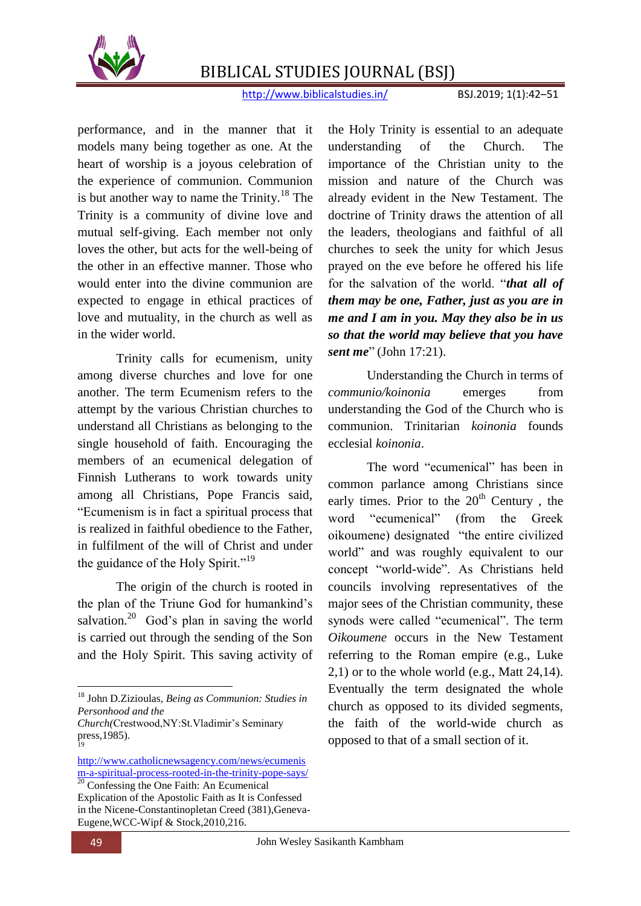

http://www.biblicalstudies.in/ BSJ.2019; 1(1):42–51

performance, and in the manner that it models many being together as one. At the heart of worship is a joyous celebration of the experience of communion. Communion is but another way to name the Trinity.<sup>18</sup> The Trinity is a community of divine love and mutual self-giving. Each member not only loves the other, but acts for the well-being of the other in an effective manner. Those who would enter into the divine communion are expected to engage in ethical practices of love and mutuality, in the church as well as in the wider world.

Trinity calls for ecumenism, unity among diverse churches and love for one another. The term Ecumenism refers to the attempt by the various Christian churches to understand all Christians as belonging to the single household of faith. Encouraging the members of an ecumenical delegation of Finnish Lutherans to work towards unity among all Christians, Pope Francis said, ―Ecumenism is in fact a spiritual process that is realized in faithful obedience to the Father, in fulfilment of the will of Christ and under the guidance of the Holy Spirit." $19$ 

The origin of the church is rooted in the plan of the Triune God for humankind's salvation.<sup>20</sup> God's plan in saving the world is carried out through the sending of the Son and the Holy Spirit. This saving activity of

the Holy Trinity is essential to an adequate understanding of the Church. The importance of the Christian unity to the mission and nature of the Church was already evident in the New Testament. The doctrine of Trinity draws the attention of all the leaders, theologians and faithful of all churches to seek the unity for which Jesus prayed on the eve before he offered his life for the salvation of the world. "*that all of them may be one, Father, just as you are in me and I am in you. May they also be in us so that the world may believe that you have sent me*" (John 17:21).

Understanding the Church in terms of *communio/koinonia* emerges from understanding the God of the Church who is communion. Trinitarian *koinonia* founds ecclesial *koinonia*.

The word "ecumenical" has been in common parlance among Christians since early times. Prior to the  $20<sup>th</sup>$  Century, the word "ecumenical" (from the Greek oikoumene) designated "the entire civilized world" and was roughly equivalent to our concept "world-wide". As Christians held councils involving representatives of the major sees of the Christian community, these synods were called "ecumenical". The term *Oikoumene* occurs in the New Testament referring to the Roman empire (e.g., Luke 2,1) or to the whole world (e.g., Matt 24,14). Eventually the term designated the whole church as opposed to its divided segments, the faith of the world-wide church as opposed to that of a small section of it.

**<sup>.</sup>** <sup>18</sup> John D.Zizioulas, *Being as Communion: Studies in Personhood and the* 

*Church(*Crestwood,NY:St.Vladimir's Seminary press,1985). 19

[http://www.catholicnewsagency.com/news/ecumenis](http://www.catholicnewsagency.com/news/ecumenism-a-spiritual-process-rooted-in-the-trinity-pope-says/) [m-a-spiritual-process-rooted-in-the-trinity-pope-says/](http://www.catholicnewsagency.com/news/ecumenism-a-spiritual-process-rooted-in-the-trinity-pope-says/)  $\frac{20}{20}$  Confessing the One Faith: An Ecumenical Explication of the Apostolic Faith as It is Confessed in the Nicene-Constantinopletan Creed (381),Geneva-Eugene,WCC-Wipf & Stock,2010,216.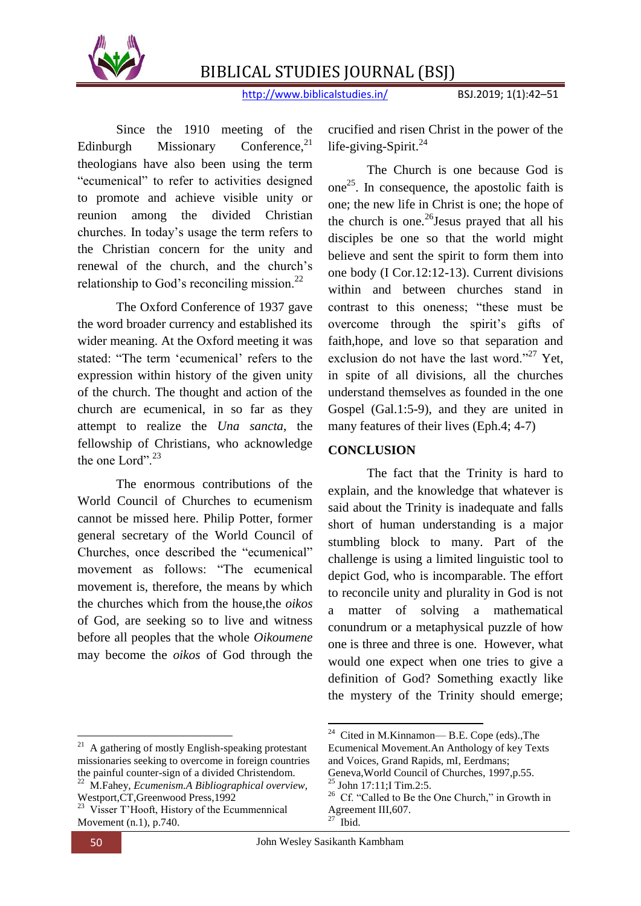

http://www.biblicalstudies.in/ BSJ.2019; 1(1):42–51

Since the 1910 meeting of the Edinburgh Missionary Conference, $21$ theologians have also been using the term "ecumenical" to refer to activities designed to promote and achieve visible unity or reunion among the divided Christian churches. In today's usage the term refers to the Christian concern for the unity and renewal of the church, and the church's relationship to God's reconciling mission. $^{22}$ 

The Oxford Conference of 1937 gave the word broader currency and established its wider meaning. At the Oxford meeting it was stated: "The term 'ecumenical' refers to the expression within history of the given unity of the church. The thought and action of the church are ecumenical, in so far as they attempt to realize the *Una sancta*, the fellowship of Christians, who acknowledge the one Lord" $^{23}$ 

The enormous contributions of the World Council of Churches to ecumenism cannot be missed here. Philip Potter, former general secretary of the World Council of Churches, once described the "ecumenical" movement as follows: "The ecumenical movement is, therefore, the means by which the churches which from the house,the *oikos* of God, are seeking so to live and witness before all peoples that the whole *Oikoumene*  may become the *oikos* of God through the

<sup>21</sup> A gathering of mostly English-speaking protestant missionaries seeking to overcome in foreign countries the painful counter-sign of a divided Christendom.

<sup>22</sup> M.Fahey, *Ecumenism.A Bibliographical overview,* Westport,CT,Greenwood Press,1992

**.** 

crucified and risen Christ in the power of the life-giving-Spirit. $^{24}$ 

The Church is one because God is one<sup>25</sup>. In consequence, the apostolic faith is one; the new life in Christ is one; the hope of the church is one.<sup>26</sup> Jesus prayed that all his disciples be one so that the world might believe and sent the spirit to form them into one body (I Cor.12:12-13). Current divisions within and between churches stand in contrast to this oneness; "these must be overcome through the spirit's gifts of faith,hope, and love so that separation and exclusion do not have the last word."<sup>27</sup> Yet, in spite of all divisions, all the churches understand themselves as founded in the one Gospel (Gal.1:5-9), and they are united in many features of their lives (Eph.4; 4-7)

#### **CONCLUSION**

The fact that the Trinity is hard to explain, and the knowledge that whatever is said about the Trinity is inadequate and falls short of human understanding is a major stumbling block to many. Part of the challenge is using a limited linguistic tool to depict God, who is incomparable. The effort to reconcile unity and plurality in God is not a matter of solving a mathematical conundrum or a metaphysical puzzle of how one is three and three is one. However, what would one expect when one tries to give a definition of God? Something exactly like the mystery of the Trinity should emerge;

<sup>&</sup>lt;sup>23</sup> Visser T'Hooft, History of the Ecummennical Movement (n.1), p.740.

 24 Cited in M.Kinnamon— B.E. Cope (eds).,The Ecumenical Movement.An Anthology of key Texts and Voices, Grand Rapids, mI, Eerdmans; Geneva,World Council of Churches, 1997,p.55.

 $^{25}$  John 17:11; I Tim.2:5.

<sup>&</sup>lt;sup>26</sup> Cf. "Called to Be the One Church," in Growth in Agreement III,607. **Ibid.**